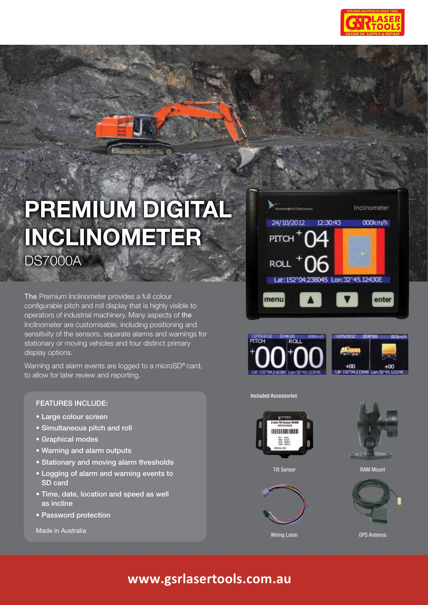

# **Premium Digital Inclinometer**

DS7000A

The Premium Inclinometer provides a full colour configurable pitch and roll display that is highly visible to operators of industrial machinery. Many aspects of the Inclinometer are customisable, including positioning and sensitivity of the sensors, separate alarms and warnings for stationary or moving vehicles and four distinct primary display options.

Warning and alarm events are logged to a microSD® card, to allow for later review and reporting.

## Features include:

- Large colour screen
- Simultaneous pitch and roll
- Graphical modes
- Warning and alarm outputs
- Stationary and moving alarm thresholds
- Logging of alarm and warning events to SD card
- Time, date, location and speed as well as incline
- Password protection

Made in Australia







#### Included Accessories







Tilt Sensor **RAM Mount** 



## **www.gsrlasertools.com.au**